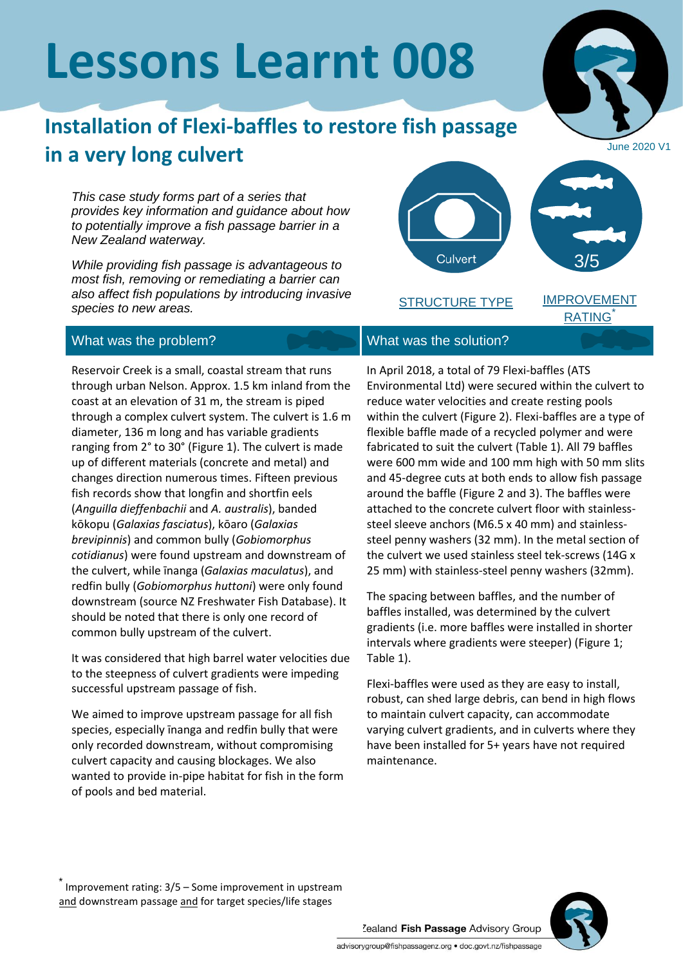# **Lessons Learnt 008**

## **Installation of Flexi-baffles to restore fish passage in a very long culvert**

*This case study forms part of a series that provides key information and guidance about how to potentially improve a fish passage barrier in a New Zealand waterway.*

*While providing fish passage is advantageous to most fish, removing or remediating a barrier can also affect fish populations by introducing invasive species to new areas.*



Reservoir Creek is a small, coastal stream that runs through urban Nelson. Approx. 1.5 km inland from the coast at an elevation of 31 m, the stream is piped through a complex culvert system. The culvert is 1.6 m diameter, 136 m long and has variable gradients ranging from 2° to 30° (Figure 1). The culvert is made up of different materials (concrete and metal) and changes direction numerous times. Fifteen previous fish records show that longfin and shortfin eels (*Anguilla dieffenbachii* and *A. australis*), banded kōkopu (*Galaxias fasciatus*), kōaro (*Galaxias brevipinnis*) and common bully (*Gobiomorphus cotidianus*) were found upstream and downstream of the culvert, while īnanga (*Galaxias maculatus*), and redfin bully (*Gobiomorphus huttoni*) were only found downstream (source NZ Freshwater Fish Database). It should be noted that there is only one record of common bully upstream of the culvert.

It was considered that high barrel water velocities due to the steepness of culvert gradients were impeding successful upstream passage of fish.

We aimed to improve upstream passage for all fish species, especially īnanga and redfin bully that were only recorded downstream, without compromising culvert capacity and causing blockages. We also wanted to provide in-pipe habitat for fish in the form of pools and bed material.

In April 2018, a total of 79 Flexi-baffles (ATS Environmental Ltd) were secured within the culvert to reduce water velocities and create resting pools within the culvert (Figure 2). Flexi-baffles are a type of flexible baffle made of a recycled polymer and were fabricated to suit the culvert (Table 1). All 79 baffles were 600 mm wide and 100 mm high with 50 mm slits and 45-degree cuts at both ends to allow fish passage around the baffle (Figure 2 and 3). The baffles were attached to the concrete culvert floor with stainlesssteel sleeve anchors (M6.5 x 40 mm) and stainlesssteel penny washers (32 mm). In the metal section of the culvert we used stainless steel tek-screws (14G x 25 mm) with stainless-steel penny washers (32mm).

The spacing between baffles, and the number of baffles installed, was determined by the culvert gradients (i.e. more baffles were installed in shorter intervals where gradients were steeper) (Figure 1; Table 1).

Flexi-baffles were used as they are easy to install, robust, can shed large debris, can bend in high flows to maintain culvert capacity, can accommodate varying culvert gradients, and in culverts where they have been installed for 5+ years have not required maintenance.

\* Improvement rating: 3/5 – Some improvement in upstream and downstream passage and for target species/life stages



Culvert 3/5STRUCTURE TYPE

June 2020 V1

IMPROVEMENT **RATING** 



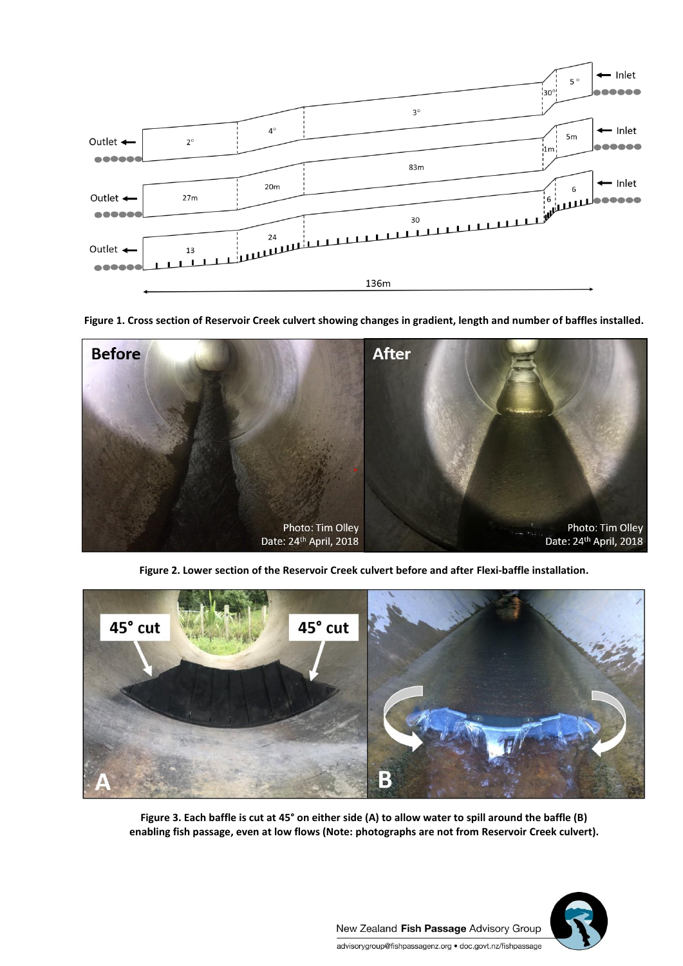

**Figure 1. Cross section of Reservoir Creek culvert showing changes in gradient, length and number of baffles installed.**



**Figure 2. Lower section of the Reservoir Creek culvert before and after Flexi-baffle installation.**



**Figure 3. Each baffle is cut at 45° on either side (A) to allow water to spill around the baffle (B) enabling fish passage, even at low flows (Note: photographs are not from Reservoir Creek culvert).**

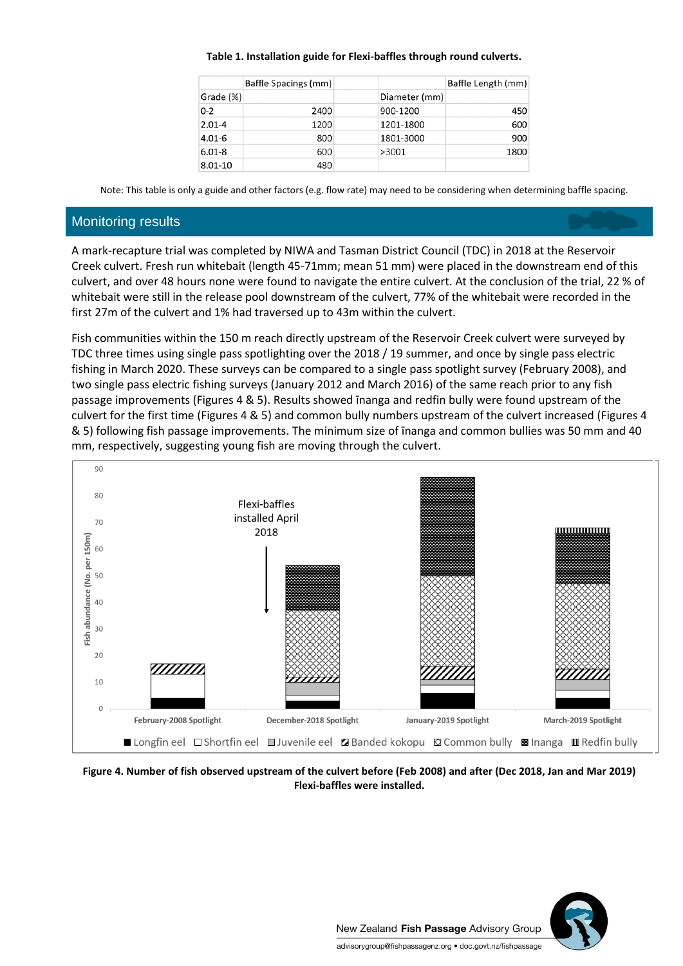#### **Table 1. Installation guide for Flexi-baffles through round culverts.**

|            | Baffle Spacings (mm) |               | Baffle Length (mm) |  |
|------------|----------------------|---------------|--------------------|--|
| Grade (%)  |                      | Diameter (mm) |                    |  |
| $0 - 2$    | 2400                 | 900-1200      | 450                |  |
| $2.01 - 4$ | 1200                 | 1201-1800     | 600                |  |
| $4.01 - 6$ | 800                  | 1801-3000     | 900                |  |
| $6.01 - 8$ | 600                  | >3001         | 1800               |  |
| 8.01-10    | 480                  |               |                    |  |

Note: This table is only a guide and other factors (e.g. flow rate) may need to be considering when determining baffle spacing.

#### Monitoring results

A mark-recapture trial was completed by NIWA and Tasman District Council (TDC) in 2018 at the Reservoir Creek culvert. Fresh run whitebait (length 45-71mm; mean 51 mm) were placed in the downstream end of this culvert, and over 48 hours none were found to navigate the entire culvert. At the conclusion of the trial, 22 % of whitebait were still in the release pool downstream of the culvert, 77% of the whitebait were recorded in the first 27m of the culvert and 1% had traversed up to 43m within the culvert.

Fish communities within the 150 m reach directly upstream of the Reservoir Creek culvert were surveyed by TDC three times using single pass spotlighting over the 2018 / 19 summer, and once by single pass electric fishing in March 2020. These surveys can be compared to a single pass spotlight survey (February 2008), and two single pass electric fishing surveys (January 2012 and March 2016) of the same reach prior to any fish passage improvements (Figures 4 & 5). Results showed īnanga and redfin bully were found upstream of the culvert for the first time (Figures 4 & 5) and common bully numbers upstream of the culvert increased (Figures 4 & 5) following fish passage improvements. The minimum size of īnanga and common bullies was 50 mm and 40 mm, respectively, suggesting young fish are moving through the culvert.



**Figure 4. Number of fish observed upstream of the culvert before (Feb 2008) and after (Dec 2018, Jan and Mar 2019) Flexi-baffles were installed.** 

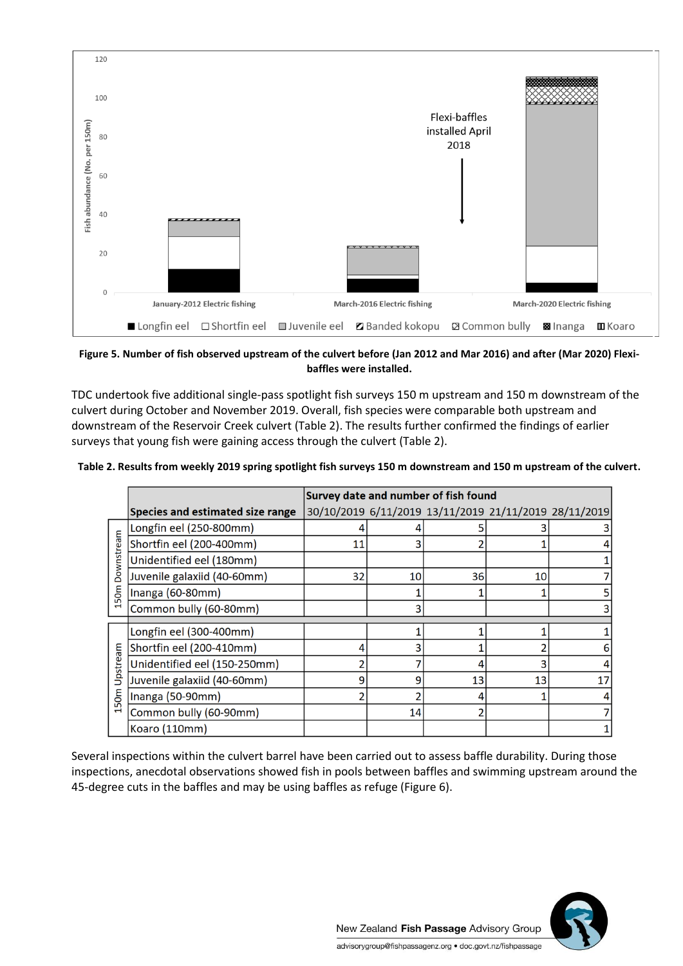

**Figure 5. Number of fish observed upstream of the culvert before (Jan 2012 and Mar 2016) and after (Mar 2020) Flexibaffles were installed.** 

TDC undertook five additional single-pass spotlight fish surveys 150 m upstream and 150 m downstream of the culvert during October and November 2019. Overall, fish species were comparable both upstream and downstream of the Reservoir Creek culvert (Table 2). The results further confirmed the findings of earlier surveys that young fish were gaining access through the culvert (Table 2).

| Table 2. Results from weekly 2019 spring spotlight fish surveys 150 m downstream and 150 m upstream of the culvert. |  |
|---------------------------------------------------------------------------------------------------------------------|--|
|                                                                                                                     |  |

|                    |                                  | Survey date and number of fish found |                 |                                                       |    |    |  |
|--------------------|----------------------------------|--------------------------------------|-----------------|-------------------------------------------------------|----|----|--|
|                    | Species and estimated size range |                                      |                 | 30/10/2019 6/11/2019 13/11/2019 21/11/2019 28/11/2019 |    |    |  |
| Downstream<br>150m | Longfin eel (250-800mm)          |                                      |                 |                                                       |    |    |  |
|                    | Shortfin eel (200-400mm)         | 11                                   |                 |                                                       |    |    |  |
|                    | Unidentified eel (180mm)         |                                      |                 |                                                       |    |    |  |
|                    | Juvenile galaxiid (40-60mm)      | 32                                   | 10 <sub>1</sub> | 36                                                    | 10 |    |  |
|                    | Inanga (60-80mm)                 |                                      |                 |                                                       |    | 5  |  |
|                    | Common bully (60-80mm)           |                                      | 3               |                                                       |    | 3  |  |
|                    |                                  |                                      |                 |                                                       |    |    |  |
| Upstream<br>50m    | Longfin eel (300-400mm)          |                                      |                 |                                                       |    |    |  |
|                    | Shortfin eel (200-410mm)         |                                      |                 |                                                       |    | 6  |  |
|                    | Unidentified eel (150-250mm)     |                                      |                 |                                                       |    |    |  |
|                    | Juvenile galaxiid (40-60mm)      | q                                    | 9               | 13                                                    | 13 | 17 |  |
|                    | Inanga (50-90mm)                 |                                      |                 |                                                       |    |    |  |
|                    | Common bully (60-90mm)           |                                      | 14              |                                                       |    |    |  |
|                    | Koaro (110mm)                    |                                      |                 |                                                       |    |    |  |

Several inspections within the culvert barrel have been carried out to assess baffle durability. During those inspections, anecdotal observations showed fish in pools between baffles and swimming upstream around the 45-degree cuts in the baffles and may be using baffles as refuge (Figure 6).